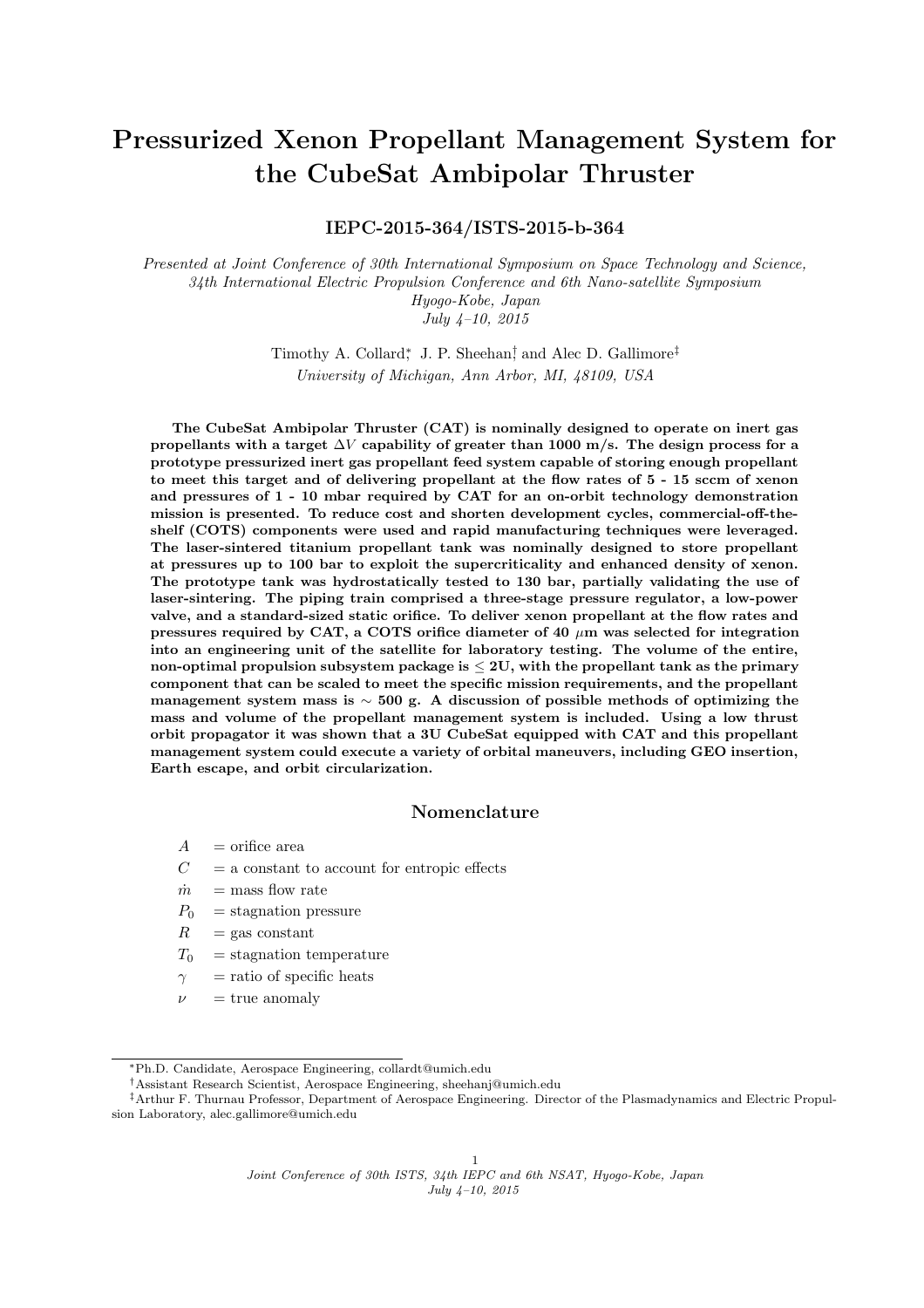# Pressurized Xenon Propellant Management System for the CubeSat Ambipolar Thruster

IEPC-2015-364/ISTS-2015-b-364

Presented at Joint Conference of 30th International Symposium on Space Technology and Science, 34th International Electric Propulsion Conference and 6th Nano-satellite Symposium Hyogo-Kobe, Japan July 4–10, 2015

> Timothy A. Collard,<sup>\*</sup> J. P. Sheehan<sup>†</sup> and Alec D. Gallimore<sup>‡</sup> University of Michigan, Ann Arbor, MI, 48109, USA

The CubeSat Ambipolar Thruster (CAT) is nominally designed to operate on inert gas propellants with a target  $\Delta V$  capability of greater than 1000 m/s. The design process for a prototype pressurized inert gas propellant feed system capable of storing enough propellant to meet this target and of delivering propellant at the flow rates of 5 - 15 sccm of xenon and pressures of 1 - 10 mbar required by CAT for an on-orbit technology demonstration mission is presented. To reduce cost and shorten development cycles, commercial-off-theshelf (COTS) components were used and rapid manufacturing techniques were leveraged. The laser-sintered titanium propellant tank was nominally designed to store propellant at pressures up to 100 bar to exploit the supercriticality and enhanced density of xenon. The prototype tank was hydrostatically tested to 130 bar, partially validating the use of laser-sintering. The piping train comprised a three-stage pressure regulator, a low-power valve, and a standard-sized static orifice. To deliver xenon propellant at the flow rates and pressures required by CAT, a COTS orifice diameter of 40  $\mu$ m was selected for integration into an engineering unit of the satellite for laboratory testing. The volume of the entire, non-optimal propulsion subsystem package is  $\leq 2U$ , with the propellant tank as the primary component that can be scaled to meet the specific mission requirements, and the propellant management system mass is  $\sim$  500 g. A discussion of possible methods of optimizing the mass and volume of the propellant management system is included. Using a low thrust orbit propagator it was shown that a 3U CubeSat equipped with CAT and this propellant management system could execute a variety of orbital maneuvers, including GEO insertion, Earth escape, and orbit circularization.

# Nomenclature

- $A =$ orifice area
- $C = a$  constant to account for entropic effects
- $\dot{m}$  = mass flow rate
- $P_0$  = stagnation pressure
- $R = \text{gas constant}$
- $T_0$  = stagnation temperature
- $\gamma$  = ratio of specific heats
- $\nu = \text{true}$  anomaly

<sup>\*</sup>Ph.D. Candidate, Aerospace Engineering, collardt@umich.edu

<sup>†</sup>Assistant Research Scientist, Aerospace Engineering, sheehanj@umich.edu

<sup>‡</sup>Arthur F. Thurnau Professor, Department of Aerospace Engineering. Director of the Plasmadynamics and Electric Propulsion Laboratory, alec.gallimore@umich.edu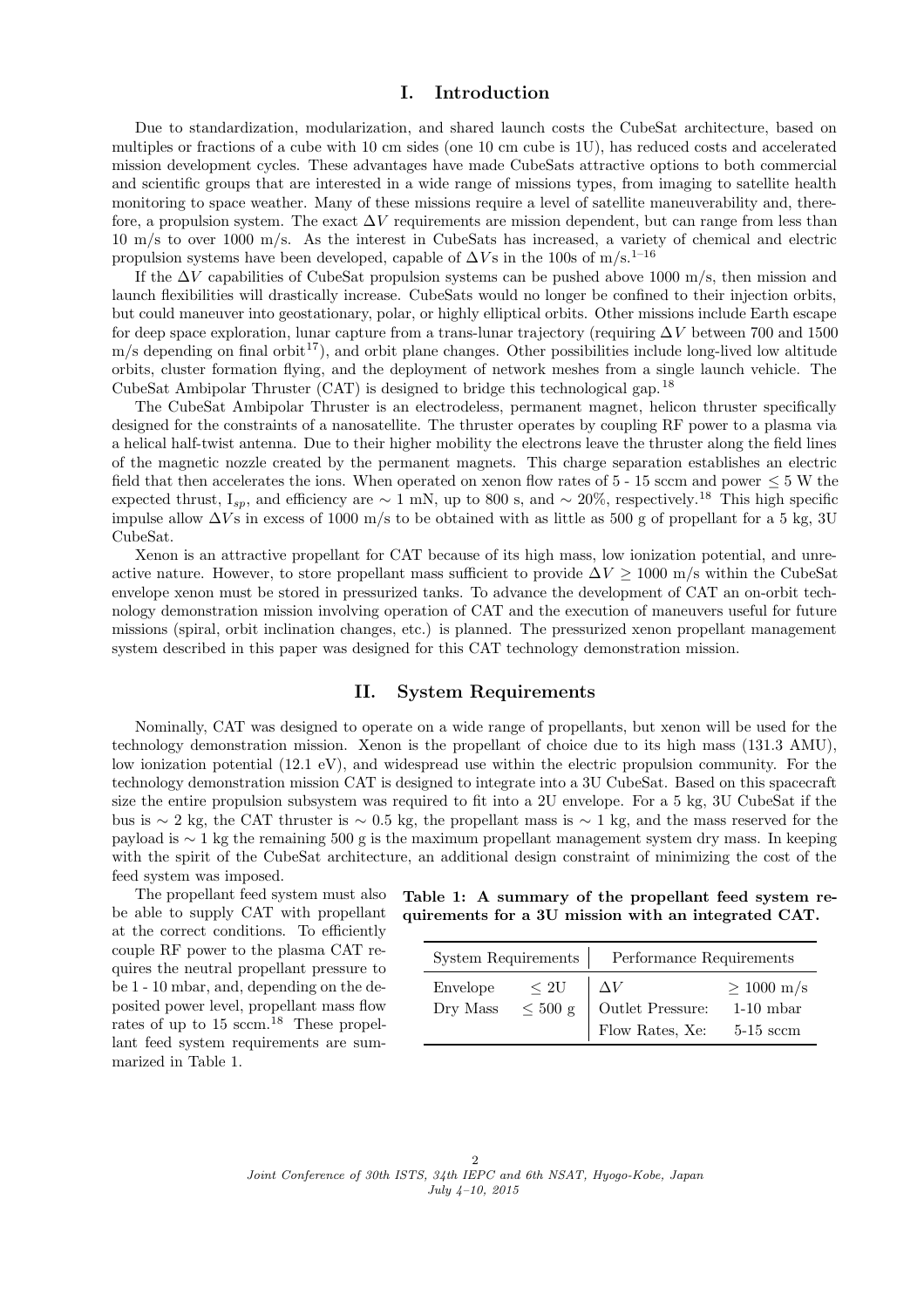# I. Introduction

Due to standardization, modularization, and shared launch costs the CubeSat architecture, based on multiples or fractions of a cube with 10 cm sides (one 10 cm cube is 1U), has reduced costs and accelerated mission development cycles. These advantages have made CubeSats attractive options to both commercial and scientific groups that are interested in a wide range of missions types, from imaging to satellite health monitoring to space weather. Many of these missions require a level of satellite maneuverability and, therefore, a propulsion system. The exact  $\Delta V$  requirements are mission dependent, but can range from less than 10 m/s to over 1000 m/s. As the interest in CubeSats has increased, a variety of chemical and electric propulsion systems have been developed, capable of  $\Delta V$ s in the 100s of m/s.<sup>[1–16](#page-9-0)</sup>

If the  $\Delta V$  capabilities of CubeSat propulsion systems can be pushed above 1000 m/s, then mission and launch flexibilities will drastically increase. CubeSats would no longer be confined to their injection orbits, but could maneuver into geostationary, polar, or highly elliptical orbits. Other missions include Earth escape for deep space exploration, lunar capture from a trans-lunar trajectory (requiring  $\Delta V$  between 700 and 1500  $m/s$  depending on final orbit<sup>[17](#page-9-0)</sup>), and orbit plane changes. Other possibilities include long-lived low altitude orbits, cluster formation flying, and the deployment of network meshes from a single launch vehicle. The CubeSat Ambipolar Thruster (CAT) is designed to bridge this technological gap.[18](#page-9-0)

The CubeSat Ambipolar Thruster is an electrodeless, permanent magnet, helicon thruster specifically designed for the constraints of a nanosatellite. The thruster operates by coupling RF power to a plasma via a helical half-twist antenna. Due to their higher mobility the electrons leave the thruster along the field lines of the magnetic nozzle created by the permanent magnets. This charge separation establishes an electric field that then accelerates the ions. When operated on xenon flow rates of  $5 - 15$  sccm and power  $\leq 5$  W the expected thrust,  $I_{sp}$ , and efficiency are  $\sim 1$  mN, up to 800 s, and  $\sim 20\%$ , respectively.<sup>[18](#page-9-0)</sup> This high specific impulse allow  $\Delta V$ s in excess of 1000 m/s to be obtained with as little as 500 g of propellant for a 5 kg, 3U CubeSat.

Xenon is an attractive propellant for CAT because of its high mass, low ionization potential, and unreactive nature. However, to store propellant mass sufficient to provide  $\Delta V \ge 1000$  m/s within the CubeSat envelope xenon must be stored in pressurized tanks. To advance the development of CAT an on-orbit technology demonstration mission involving operation of CAT and the execution of maneuvers useful for future missions (spiral, orbit inclination changes, etc.) is planned. The pressurized xenon propellant management system described in this paper was designed for this CAT technology demonstration mission.

### II. System Requirements

Nominally, CAT was designed to operate on a wide range of propellants, but xenon will be used for the technology demonstration mission. Xenon is the propellant of choice due to its high mass (131.3 AMU), low ionization potential (12.1 eV), and widespread use within the electric propulsion community. For the technology demonstration mission CAT is designed to integrate into a 3U CubeSat. Based on this spacecraft size the entire propulsion subsystem was required to fit into a 2U envelope. For a 5 kg, 3U CubeSat if the bus is ∼ 2 kg, the CAT thruster is ∼ 0.5 kg, the propellant mass is ∼ 1 kg, and the mass reserved for the payload is ∼ 1 kg the remaining 500 g is the maximum propellant management system dry mass. In keeping with the spirit of the CubeSat architecture, an additional design constraint of minimizing the cost of the feed system was imposed.

The propellant feed system must also be able to supply CAT with propellant at the correct conditions. To efficiently couple RF power to the plasma CAT requires the neutral propellant pressure to be 1 - 10 mbar, and, depending on the deposited power level, propellant mass flow rates of up to  $15$  sccm.<sup>[18](#page-9-0)</sup> These propellant feed system requirements are summarized in Table 1.

Table 1: A summary of the propellant feed system requirements for a 3U mission with an integrated CAT.

| System Requirements |              | Performance Requirements                                                |                 |
|---------------------|--------------|-------------------------------------------------------------------------|-----------------|
| Envelope            | < 2U         |                                                                         | $\geq 1000$ m/s |
| Dry Mass            | $\leq$ 500 g | Outlet Pressure: $% \left\vert \left( \mathcal{A}\right) \right\rangle$ | $1-10$ mbar     |
|                     |              | Flow Rates, Xe:                                                         | $5-15$ sccm     |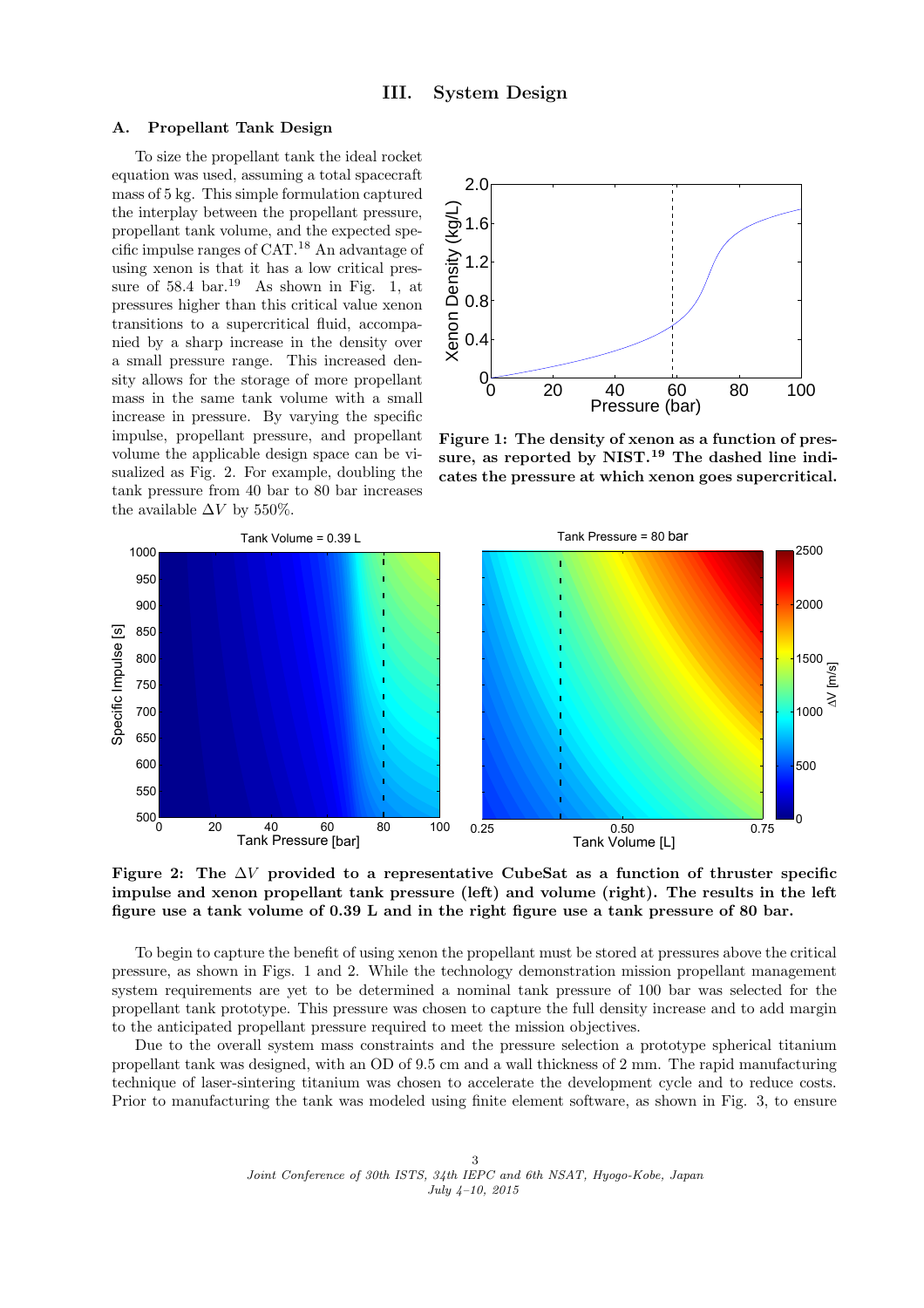#### A. Propellant Tank Design

To size the propellant tank the ideal rocket equation was used, assuming a total spacecraft mass of 5 kg. This simple formulation captured the interplay between the propellant pressure, propellant tank volume, and the expected specific impulse ranges of CAT.[18](#page-9-0) An advantage of using xenon is that it has a low critical pressure of  $58.4 \text{ bar.}^{19}$  $58.4 \text{ bar.}^{19}$  $58.4 \text{ bar.}^{19}$  As shown in Fig. 1, at pressures higher than this critical value xenon transitions to a supercritical fluid, accompanied by a sharp increase in the density over a small pressure range. This increased density allows for the storage of more propellant mass in the same tank volume with a small increase in pressure. By varying the specific impulse, propellant pressure, and propellant volume the applicable design space can be visualized as Fig. 2. For example, doubling the tank pressure from 40 bar to 80 bar increases the available  $\Delta V$  by 550%.



Figure 1: The density of xenon as a function of pressure, as reported by  $NIST.<sup>19</sup>$  $NIST.<sup>19</sup>$  $NIST.<sup>19</sup>$  The dashed line indicates the pressure at which xenon goes supercritical.



Figure 2: The  $\Delta V$  provided to a representative CubeSat as a function of thruster specific impulse and xenon propellant tank pressure (left) and volume (right). The results in the left figure use a tank volume of 0.39 L and in the right figure use a tank pressure of 80 bar.

To begin to capture the benefit of using xenon the propellant must be stored at pressures above the critical pressure, as shown in Figs. 1 and 2. While the technology demonstration mission propellant management system requirements are yet to be determined a nominal tank pressure of 100 bar was selected for the propellant tank prototype. This pressure was chosen to capture the full density increase and to add margin to the anticipated propellant pressure required to meet the mission objectives.

Due to the overall system mass constraints and the pressure selection a prototype spherical titanium propellant tank was designed, with an OD of 9.5 cm and a wall thickness of 2 mm. The rapid manufacturing technique of laser-sintering titanium was chosen to accelerate the development cycle and to reduce costs. Prior to manufacturing the tank was modeled using finite element software, as shown in Fig. [3,](#page-3-0) to ensure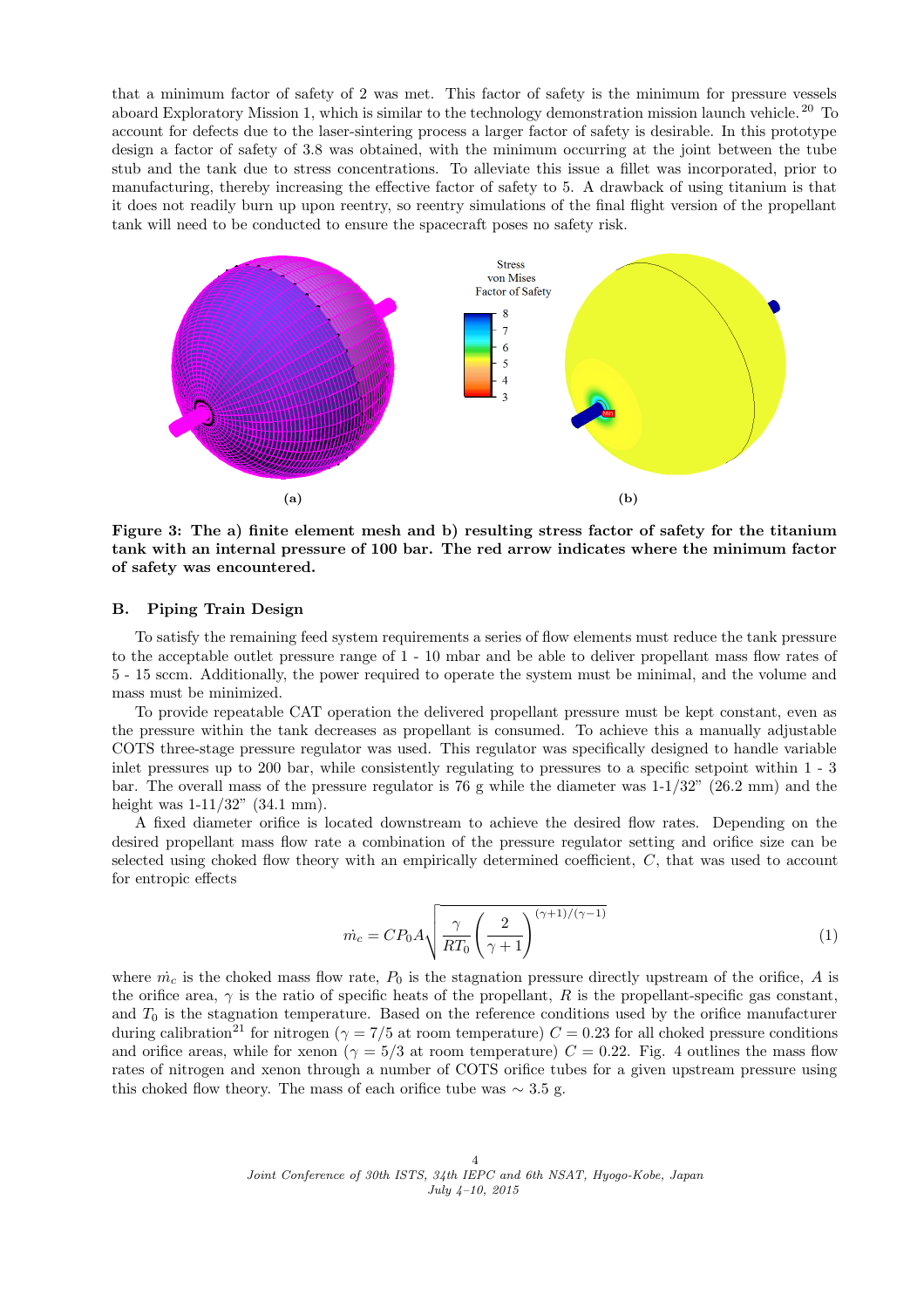<span id="page-3-0"></span>that a minimum factor of safety of 2 was met. This factor of safety is the minimum for pressure vessels aboard Exploratory Mission 1, which is similar to the technology demonstration mission launch vehicle. [20](#page-9-0) To account for defects due to the laser-sintering process a larger factor of safety is desirable. In this prototype design a factor of safety of 3.8 was obtained, with the minimum occurring at the joint between the tube stub and the tank due to stress concentrations. To alleviate this issue a fillet was incorporated, prior to manufacturing, thereby increasing the effective factor of safety to 5. A drawback of using titanium is that it does not readily burn up upon reentry, so reentry simulations of the final flight version of the propellant tank will need to be conducted to ensure the spacecraft poses no safety risk.



Figure 3: The a) finite element mesh and b) resulting stress factor of safety for the titanium tank with an internal pressure of 100 bar. The red arrow indicates where the minimum factor of safety was encountered.

## B. Piping Train Design

To satisfy the remaining feed system requirements a series of flow elements must reduce the tank pressure to the acceptable outlet pressure range of 1 - 10 mbar and be able to deliver propellant mass flow rates of 5 - 15 sccm. Additionally, the power required to operate the system must be minimal, and the volume and mass must be minimized.

To provide repeatable CAT operation the delivered propellant pressure must be kept constant, even as the pressure within the tank decreases as propellant is consumed. To achieve this a manually adjustable COTS three-stage pressure regulator was used. This regulator was specifically designed to handle variable inlet pressures up to 200 bar, while consistently regulating to pressures to a specific setpoint within 1 - 3 bar. The overall mass of the pressure regulator is 76 g while the diameter was 1-1/32" (26.2 mm) and the height was  $1-11/32$ " (34.1 mm).

A fixed diameter orifice is located downstream to achieve the desired flow rates. Depending on the desired propellant mass flow rate a combination of the pressure regulator setting and orifice size can be selected using choked flow theory with an empirically determined coefficient, C, that was used to account for entropic effects

$$
\dot{m}_c = CP_0 A \sqrt{\frac{\gamma}{RT_0} \left(\frac{2}{\gamma + 1}\right)^{(\gamma + 1)/(\gamma - 1)}}
$$
\n(1)

where  $\dot{m}_c$  is the choked mass flow rate,  $P_0$  is the stagnation pressure directly upstream of the orifice, A is the orifice area,  $\gamma$  is the ratio of specific heats of the propellant, R is the propellant-specific gas constant, and  $T_0$  is the stagnation temperature. Based on the reference conditions used by the orifice manufacturer during calibration<sup>[21](#page-9-0)</sup> for nitrogen ( $\gamma = 7/5$  at room temperature)  $C = 0.23$  for all choked pressure conditions and orifice areas, while for xenon ( $\gamma = 5/3$  at room temperature)  $C = 0.22$ . Fig. [4](#page-4-0) outlines the mass flow rates of nitrogen and xenon through a number of COTS orifice tubes for a given upstream pressure using this choked flow theory. The mass of each orifice tube was  $\sim 3.5$  g.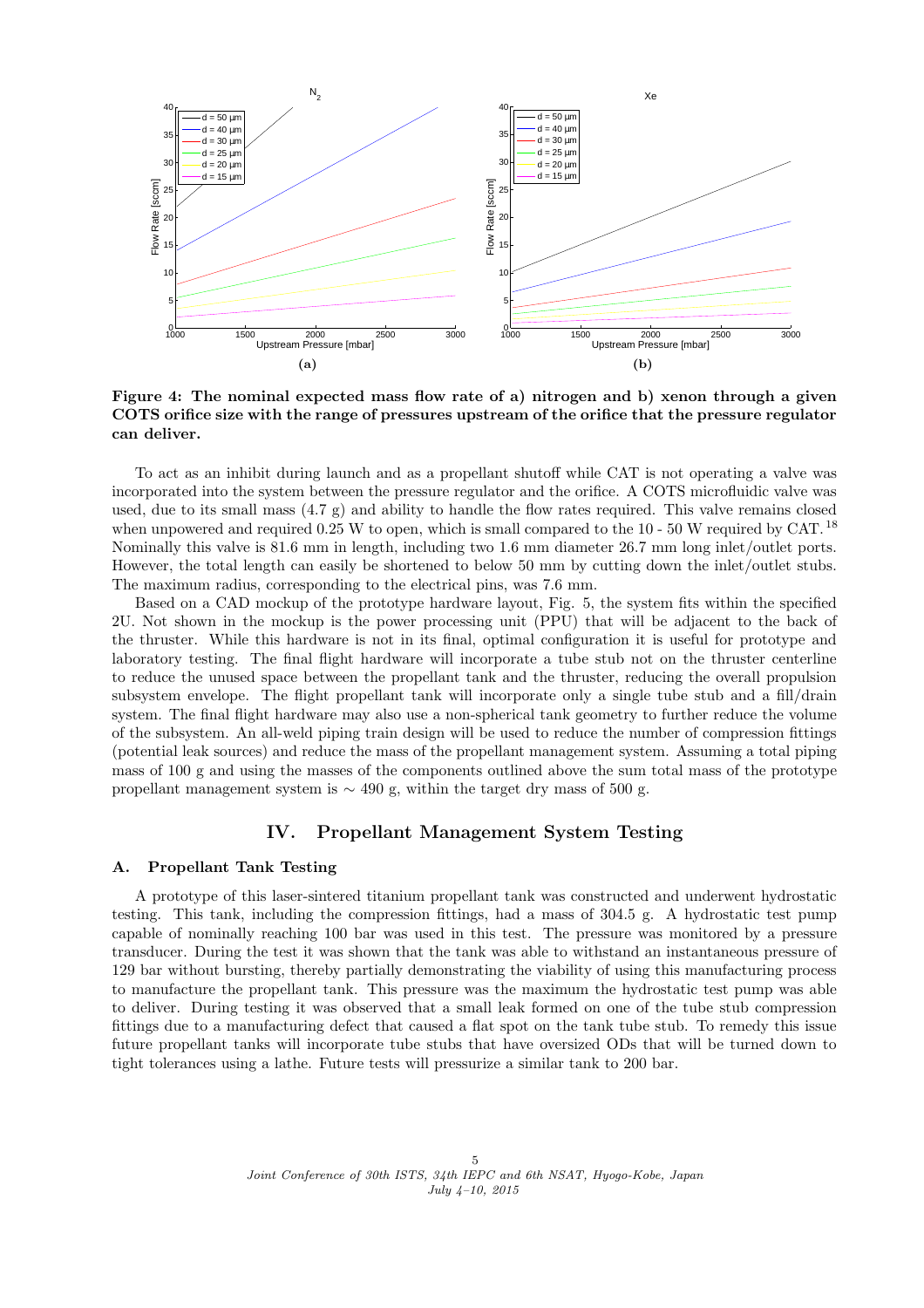<span id="page-4-0"></span>

Figure 4: The nominal expected mass flow rate of a) nitrogen and b) xenon through a given COTS orifice size with the range of pressures upstream of the orifice that the pressure regulator can deliver.

To act as an inhibit during launch and as a propellant shutoff while CAT is not operating a valve was incorporated into the system between the pressure regulator and the orifice. A COTS microfluidic valve was used, due to its small mass  $(4.7 \text{ g})$  and ability to handle the flow rates required. This valve remains closed when unpowered and required 0.25 W to open, which is small compared to the  $10 - 50$  W required by CAT.<sup>[18](#page-9-0)</sup> Nominally this valve is 81.6 mm in length, including two 1.6 mm diameter 26.7 mm long inlet/outlet ports. However, the total length can easily be shortened to below 50 mm by cutting down the inlet/outlet stubs. The maximum radius, corresponding to the electrical pins, was 7.6 mm.

Based on a CAD mockup of the prototype hardware layout, Fig. [5,](#page-5-0) the system fits within the specified 2U. Not shown in the mockup is the power processing unit (PPU) that will be adjacent to the back of the thruster. While this hardware is not in its final, optimal configuration it is useful for prototype and laboratory testing. The final flight hardware will incorporate a tube stub not on the thruster centerline to reduce the unused space between the propellant tank and the thruster, reducing the overall propulsion subsystem envelope. The flight propellant tank will incorporate only a single tube stub and a fill/drain system. The final flight hardware may also use a non-spherical tank geometry to further reduce the volume of the subsystem. An all-weld piping train design will be used to reduce the number of compression fittings (potential leak sources) and reduce the mass of the propellant management system. Assuming a total piping mass of 100 g and using the masses of the components outlined above the sum total mass of the prototype propellant management system is  $\sim$  490 g, within the target dry mass of 500 g.

## IV. Propellant Management System Testing

#### A. Propellant Tank Testing

A prototype of this laser-sintered titanium propellant tank was constructed and underwent hydrostatic testing. This tank, including the compression fittings, had a mass of 304.5 g. A hydrostatic test pump capable of nominally reaching 100 bar was used in this test. The pressure was monitored by a pressure transducer. During the test it was shown that the tank was able to withstand an instantaneous pressure of 129 bar without bursting, thereby partially demonstrating the viability of using this manufacturing process to manufacture the propellant tank. This pressure was the maximum the hydrostatic test pump was able to deliver. During testing it was observed that a small leak formed on one of the tube stub compression fittings due to a manufacturing defect that caused a flat spot on the tank tube stub. To remedy this issue future propellant tanks will incorporate tube stubs that have oversized ODs that will be turned down to tight tolerances using a lathe. Future tests will pressurize a similar tank to 200 bar.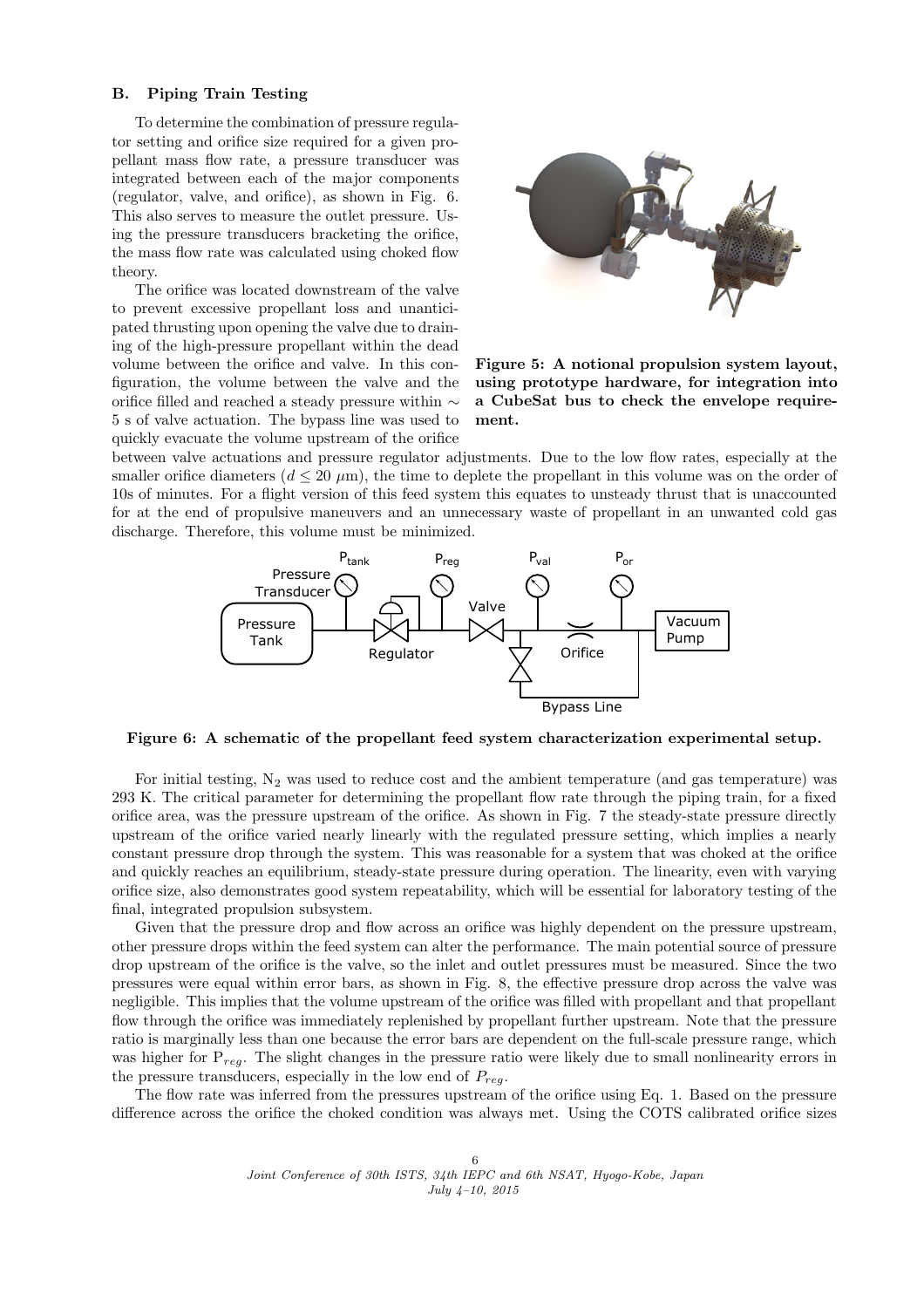#### <span id="page-5-0"></span>B. Piping Train Testing

To determine the combination of pressure regulator setting and orifice size required for a given propellant mass flow rate, a pressure transducer was integrated between each of the major components (regulator, valve, and orifice), as shown in Fig. 6. This also serves to measure the outlet pressure. Using the pressure transducers bracketing the orifice, the mass flow rate was calculated using choked flow theory.

The orifice was located downstream of the valve to prevent excessive propellant loss and unanticipated thrusting upon opening the valve due to draining of the high-pressure propellant within the dead volume between the orifice and valve. In this configuration, the volume between the valve and the orifice filled and reached a steady pressure within ∼ 5 s of valve actuation. The bypass line was used to quickly evacuate the volume upstream of the orifice



Figure 5: A notional propulsion system layout, using prototype hardware, for integration into a CubeSat bus to check the envelope requirement.

between valve actuations and pressure regulator adjustments. Due to the low flow rates, especially at the smaller orifice diameters ( $d \leq 20 \ \mu m$ ), the time to deplete the propellant in this volume was on the order of 10s of minutes. For a flight version of this feed system this equates to unsteady thrust that is unaccounted for at the end of propulsive maneuvers and an unnecessary waste of propellant in an unwanted cold gas discharge. Therefore, this volume must be minimized.



Figure 6: A schematic of the propellant feed system characterization experimental setup.

For initial testing,  $N_2$  was used to reduce cost and the ambient temperature (and gas temperature) was 293 K. The critical parameter for determining the propellant flow rate through the piping train, for a fixed orifice area, was the pressure upstream of the orifice. As shown in Fig. [7](#page-6-0) the steady-state pressure directly upstream of the orifice varied nearly linearly with the regulated pressure setting, which implies a nearly constant pressure drop through the system. This was reasonable for a system that was choked at the orifice and quickly reaches an equilibrium, steady-state pressure during operation. The linearity, even with varying orifice size, also demonstrates good system repeatability, which will be essential for laboratory testing of the final, integrated propulsion subsystem.

Given that the pressure drop and flow across an orifice was highly dependent on the pressure upstream, other pressure drops within the feed system can alter the performance. The main potential source of pressure drop upstream of the orifice is the valve, so the inlet and outlet pressures must be measured. Since the two pressures were equal within error bars, as shown in Fig. [8,](#page-6-0) the effective pressure drop across the valve was negligible. This implies that the volume upstream of the orifice was filled with propellant and that propellant flow through the orifice was immediately replenished by propellant further upstream. Note that the pressure ratio is marginally less than one because the error bars are dependent on the full-scale pressure range, which was higher for  $P_{req}$ . The slight changes in the pressure ratio were likely due to small nonlinearity errors in the pressure transducers, especially in the low end of  $P_{rea}$ .

The flow rate was inferred from the pressures upstream of the orifice using Eq. [1.](#page-3-0) Based on the pressure difference across the orifice the choked condition was always met. Using the COTS calibrated orifice sizes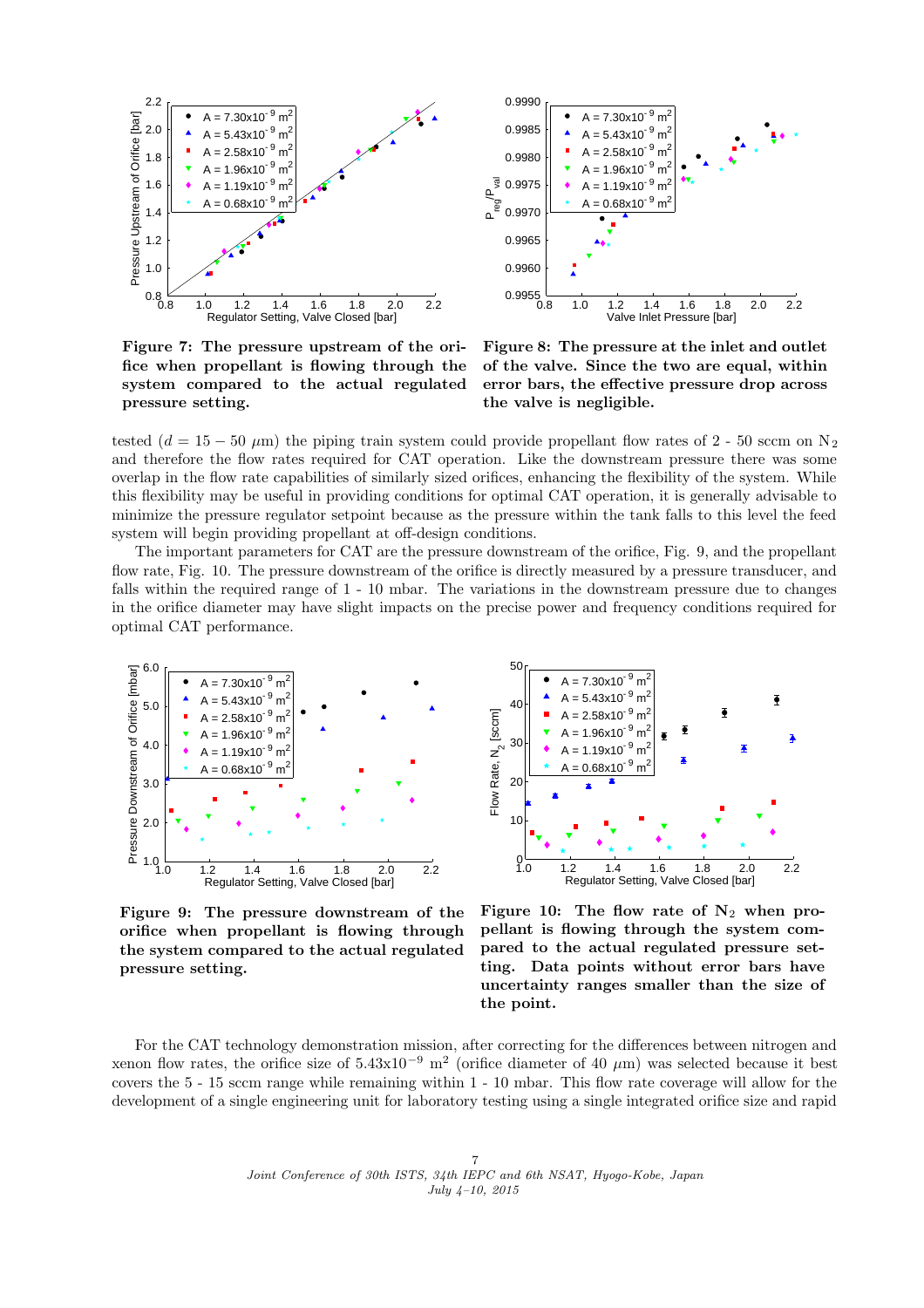<span id="page-6-0"></span>

0.8 1.0 1.2 1.4 1.6 1.8 2.0 2.2  $0.9955$   $_{0.8}^{\circ}$ 0.9960 0.9965 0.9970 0.9975 0.9980 0.9985 0.9990 Valve Inlet Pressure [bar] P<br>Peg<sup>leal</sup>  $A = 7.30 \times 10^{-9}$  m<sup>2</sup> 5.43x10 $^{-9}$  m<sup>2</sup> 2.58x10<sup>- 9</sup> m<sup>2</sup> 1.96x10<sup>-9</sup> m<sup>2</sup> 1.19x10 $^{-9}$  m<sup>2</sup>  $0.68x10^{-9}$  m<sup>2</sup>

Figure 7: The pressure upstream of the orifice when propellant is flowing through the system compared to the actual regulated pressure setting.

Figure 8: The pressure at the inlet and outlet of the valve. Since the two are equal, within error bars, the effective pressure drop across the valve is negligible.

tested  $(d = 15 - 50 \mu m)$  the piping train system could provide propellant flow rates of 2 - 50 sccm on N<sub>2</sub> and therefore the flow rates required for CAT operation. Like the downstream pressure there was some overlap in the flow rate capabilities of similarly sized orifices, enhancing the flexibility of the system. While this flexibility may be useful in providing conditions for optimal CAT operation, it is generally advisable to minimize the pressure regulator setpoint because as the pressure within the tank falls to this level the feed system will begin providing propellant at off-design conditions.

The important parameters for CAT are the pressure downstream of the orifice, Fig. 9, and the propellant flow rate, Fig. 10. The pressure downstream of the orifice is directly measured by a pressure transducer, and falls within the required range of 1 - 10 mbar. The variations in the downstream pressure due to changes in the orifice diameter may have slight impacts on the precise power and frequency conditions required for optimal CAT performance.



Figure 9: The pressure downstream of the orifice when propellant is flowing through the system compared to the actual regulated pressure setting.



Figure 10: The flow rate of  $N_2$  when propellant is flowing through the system compared to the actual regulated pressure setting. Data points without error bars have uncertainty ranges smaller than the size of the point.

For the CAT technology demonstration mission, after correcting for the differences between nitrogen and xenon flow rates, the orifice size of  $5.43x10^{-9}$  m<sup>2</sup> (orifice diameter of 40  $\mu$ m) was selected because it best covers the 5 - 15 sccm range while remaining within 1 - 10 mbar. This flow rate coverage will allow for the development of a single engineering unit for laboratory testing using a single integrated orifice size and rapid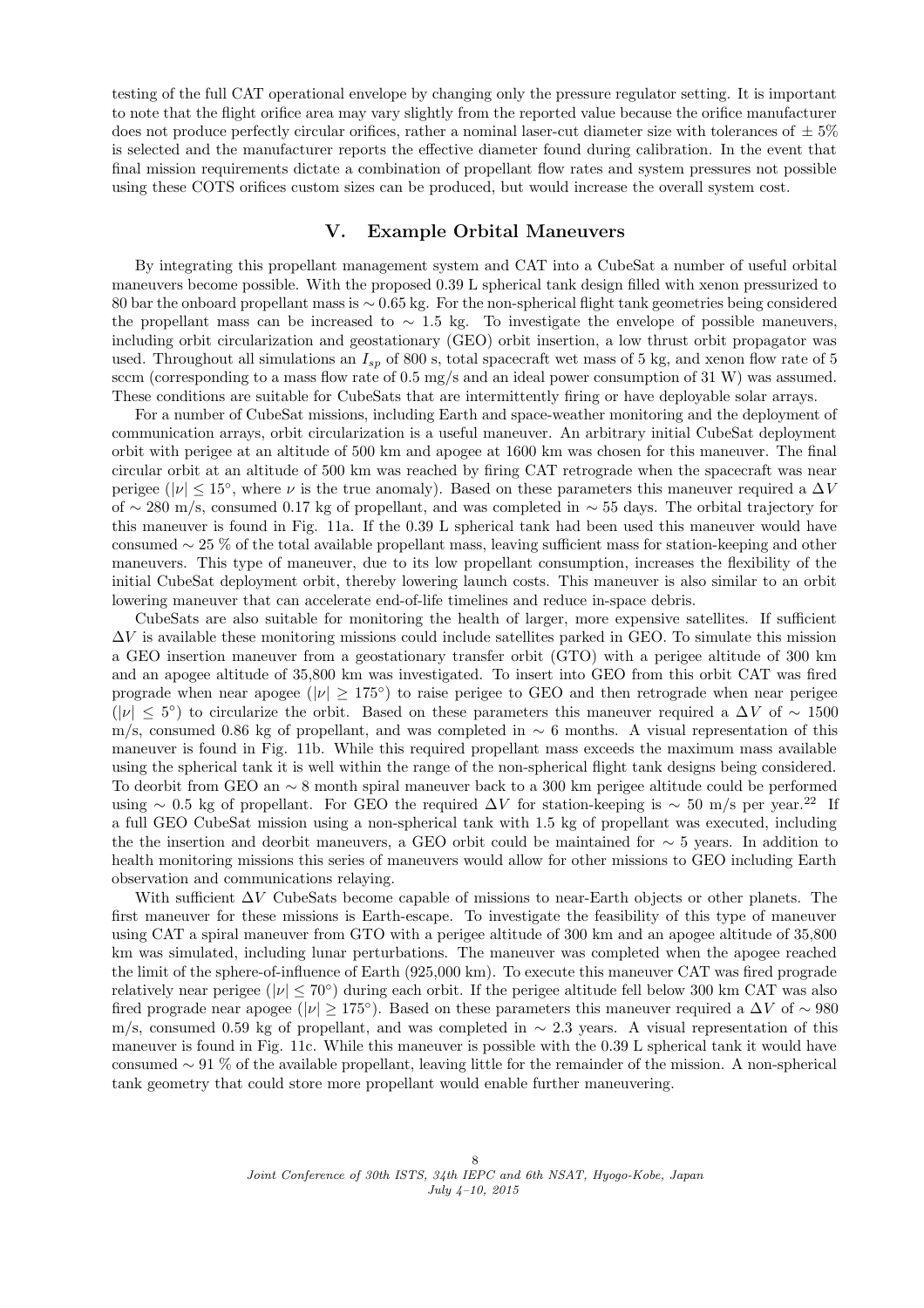testing of the full CAT operational envelope by changing only the pressure regulator setting. It is important to note that the flight orifice area may vary slightly from the reported value because the orifice manufacturer does not produce perfectly circular orifices, rather a nominal laser-cut diameter size with tolerances of  $\pm 5\%$ is selected and the manufacturer reports the effective diameter found during calibration. In the event that final mission requirements dictate a combination of propellant flow rates and system pressures not possible using these COTS orifices custom sizes can be produced, but would increase the overall system cost.

## V. Example Orbital Maneuvers

By integrating this propellant management system and CAT into a CubeSat a number of useful orbital maneuvers become possible. With the proposed 0.39 L spherical tank design filled with xenon pressurized to 80 bar the onboard propellant mass is ∼ 0.65 kg. For the non-spherical flight tank geometries being considered the propellant mass can be increased to ∼ 1.5 kg. To investigate the envelope of possible maneuvers, including orbit circularization and geostationary (GEO) orbit insertion, a low thrust orbit propagator was used. Throughout all simulations an  $I_{sp}$  of 800 s, total spacecraft wet mass of 5 kg, and xenon flow rate of 5 sccm (corresponding to a mass flow rate of 0.5 mg/s and an ideal power consumption of 31 W) was assumed. These conditions are suitable for CubeSats that are intermittently firing or have deployable solar arrays.

For a number of CubeSat missions, including Earth and space-weather monitoring and the deployment of communication arrays, orbit circularization is a useful maneuver. An arbitrary initial CubeSat deployment orbit with perigee at an altitude of 500 km and apogee at 1600 km was chosen for this maneuver. The final circular orbit at an altitude of 500 km was reached by firing CAT retrograde when the spacecraft was near perigee ( $|\nu| \leq 15^{\circ}$ , where  $\nu$  is the true anomaly). Based on these parameters this maneuver required a  $\Delta V$ of ∼ 280 m/s, consumed 0.17 kg of propellant, and was completed in ∼ 55 days. The orbital trajectory for this maneuver is found in Fig. [11a](#page-8-0). If the 0.39 L spherical tank had been used this maneuver would have consumed ∼ 25 % of the total available propellant mass, leaving sufficient mass for station-keeping and other maneuvers. This type of maneuver, due to its low propellant consumption, increases the flexibility of the initial CubeSat deployment orbit, thereby lowering launch costs. This maneuver is also similar to an orbit lowering maneuver that can accelerate end-of-life timelines and reduce in-space debris.

CubeSats are also suitable for monitoring the health of larger, more expensive satellites. If sufficient  $\Delta V$  is available these monitoring missions could include satellites parked in GEO. To simulate this mission a GEO insertion maneuver from a geostationary transfer orbit (GTO) with a perigee altitude of 300 km and an apogee altitude of 35,800 km was investigated. To insert into GEO from this orbit CAT was fired prograde when near apogee ( $|v| \ge 175^{\circ}$ ) to raise perigee to GEO and then retrograde when near perigee ( $|v| \leq 5^{\circ}$ ) to circularize the orbit. Based on these parameters this maneuver required a  $\Delta V$  of ~ 1500 m/s, consumed 0.86 kg of propellant, and was completed in ∼ 6 months. A visual representation of this maneuver is found in Fig. [11b](#page-8-0). While this required propellant mass exceeds the maximum mass available using the spherical tank it is well within the range of the non-spherical flight tank designs being considered. To deorbit from GEO an ∼ 8 month spiral maneuver back to a 300 km perigee altitude could be performed using ∼ 0.5 kg of propellant. For GEO the required  $\Delta V$  for station-keeping is ∼ 50 m/s per year.<sup>[22](#page-9-0)</sup> If a full GEO CubeSat mission using a non-spherical tank with 1.5 kg of propellant was executed, including the the insertion and deorbit maneuvers, a GEO orbit could be maintained for ∼ 5 years. In addition to health monitoring missions this series of maneuvers would allow for other missions to GEO including Earth observation and communications relaying.

With sufficient  $\Delta V$  CubeSats become capable of missions to near-Earth objects or other planets. The first maneuver for these missions is Earth-escape. To investigate the feasibility of this type of maneuver using CAT a spiral maneuver from GTO with a perigee altitude of 300 km and an apogee altitude of 35,800 km was simulated, including lunar perturbations. The maneuver was completed when the apogee reached the limit of the sphere-of-influence of Earth (925,000 km). To execute this maneuver CAT was fired prograde relatively near perigee ( $|\nu| \le 70^{\circ}$ ) during each orbit. If the perigee altitude fell below 300 km CAT was also fired prograde near apogee ( $|\nu| \ge 175°$ ). Based on these parameters this maneuver required a  $\Delta V$  of  $\sim 980$ m/s, consumed 0.59 kg of propellant, and was completed in  $\sim 2.3$  years. A visual representation of this maneuver is found in Fig. [11c](#page-8-0). While this maneuver is possible with the 0.39 L spherical tank it would have consumed ∼ 91 % of the available propellant, leaving little for the remainder of the mission. A non-spherical tank geometry that could store more propellant would enable further maneuvering.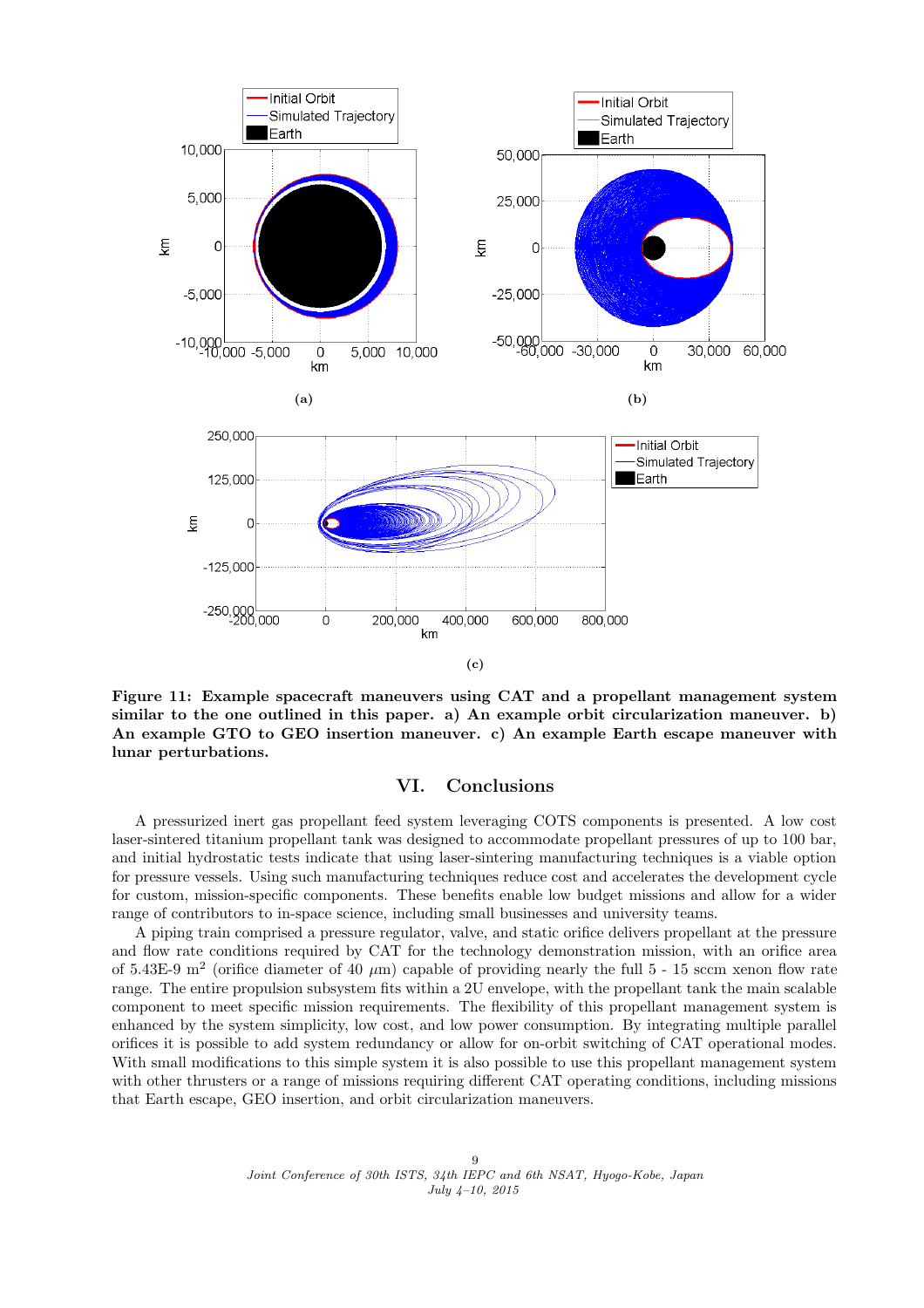<span id="page-8-0"></span>

Figure 11: Example spacecraft maneuvers using CAT and a propellant management system similar to the one outlined in this paper. a) An example orbit circularization maneuver. b) An example GTO to GEO insertion maneuver. c) An example Earth escape maneuver with lunar perturbations.

## VI. Conclusions

A pressurized inert gas propellant feed system leveraging COTS components is presented. A low cost laser-sintered titanium propellant tank was designed to accommodate propellant pressures of up to 100 bar, and initial hydrostatic tests indicate that using laser-sintering manufacturing techniques is a viable option for pressure vessels. Using such manufacturing techniques reduce cost and accelerates the development cycle for custom, mission-specific components. These benefits enable low budget missions and allow for a wider range of contributors to in-space science, including small businesses and university teams.

A piping train comprised a pressure regulator, valve, and static orifice delivers propellant at the pressure and flow rate conditions required by CAT for the technology demonstration mission, with an orifice area of 5.43E-9 m<sup>2</sup> (orifice diameter of 40  $\mu$ m) capable of providing nearly the full 5 - 15 sccm xenon flow rate range. The entire propulsion subsystem fits within a 2U envelope, with the propellant tank the main scalable component to meet specific mission requirements. The flexibility of this propellant management system is enhanced by the system simplicity, low cost, and low power consumption. By integrating multiple parallel orifices it is possible to add system redundancy or allow for on-orbit switching of CAT operational modes. With small modifications to this simple system it is also possible to use this propellant management system with other thrusters or a range of missions requiring different CAT operating conditions, including missions that Earth escape, GEO insertion, and orbit circularization maneuvers.